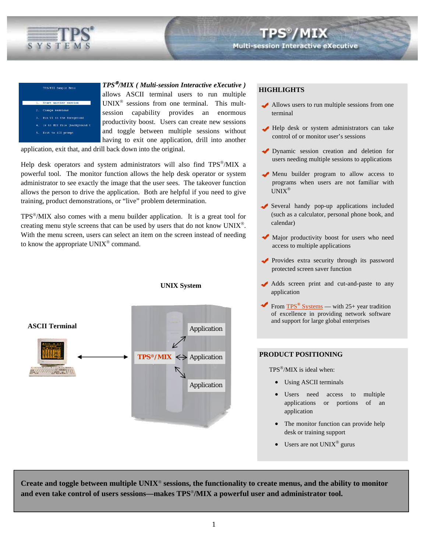

# art another se Run VI in the foreground Is to MIX file (background t Exit to AIX prompt

*TPS*® */MIX ( Multi-session Interactive eXecutive )*

allows ASCII terminal users to run multiple  $UNIX^{\otimes}$  sessions from one terminal. This multsession capability provides an enormous productivity boost. Users can create new sessions and toggle between multiple sessions without having to exit one application, drill into another

**UNIX System** 

application, exit that, and drill back down into the original.

Help desk operators and system administrators will also find TPS®/MIX a powerful tool. The monitor function allows the help desk operator or system administrator to see exactly the image that the user sees. The takeover function allows the person to drive the application. Both are helpful if you need to give training, product demonstrations, or "live" problem determination.

TPS®/MIX also comes with a menu builder application. It is a great tool for creating menu style screens that can be used by users that do not know UNIX®. With the menu screen, users can select an item on the screen instead of needing to know the appropriate UNIX® command.



# **HIGHLIGHTS**

- Allows users to run multiple sessions from one terminal
- Help desk or system administrators can take control of or monitor user's sessions
- Dynamic session creation and deletion for users needing multiple sessions to applications
- Menu builder program to allow access to programs when users are not familiar with UNIX®
- Several handy pop-up applications included (such as a calculator, personal phone book, and calendar)
- Major productivity boost for users who need access to multiple applications
- Provides extra security through its password protected screen saver function
- Adds screen print and cut-and-paste to any application
- From TPS<sup>®</sup> [Systems](http://www.tps.com)  with 25+ year tradition of excellence in providing network software and support for large global enterprises

# **PRODUCT POSITIONING**

 $TPS^{\otimes}/MIX$  is ideal when:

- Using ASCII terminals
- Users need access to multiple applications or portions of an application
- The monitor function can provide help desk or training support
- Users are not  $UNIX^{\circledast}$  gurus

**Create and toggle between multiple UNIX**® **sessions, the functionality to create menus, and the ability to monitor and even take control of users sessions—makes TPS**®**/MIX a powerful user and administrator tool.**